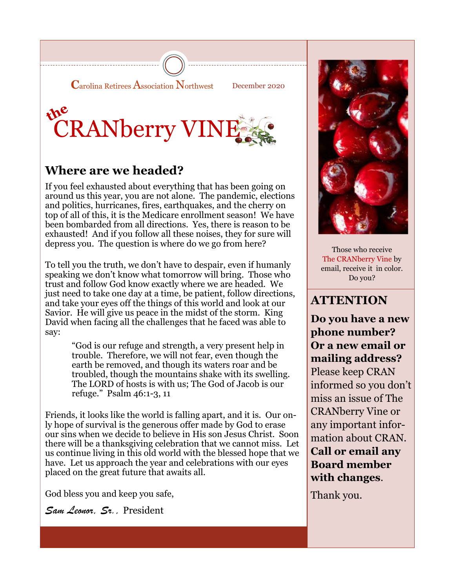



### **Where are we headed?**

If you feel exhausted about everything that has been going on around us this year, you are not alone. The pandemic, elections and politics, hurricanes, fires, earthquakes, and the cherry on top of all of this, it is the Medicare enrollment season! We have been bombarded from all directions. Yes, there is reason to be exhausted! And if you follow all these noises, they for sure will depress you. The question is where do we go from here?

To tell you the truth, we don't have to despair, even if humanly speaking we don't know what tomorrow will bring. Those who trust and follow God know exactly where we are headed. We just need to take one day at a time, be patient, follow directions, and take your eyes off the things of this world and look at our Savior. He will give us peace in the midst of the storm. King David when facing all the challenges that he faced was able to say:

> "God is our refuge and strength, a very present help in trouble. Therefore, we will not fear, even though the earth be removed, and though its waters roar and be troubled, though the mountains shake with its swelling. The LORD of hosts is with us; The God of Jacob is our refuge." Psalm 46:1-3, 11

Friends, it looks like the world is falling apart, and it is. Our only hope of survival is the generous offer made by God to erase our sins when we decide to believe in His son Jesus Christ. Soon there will be a thanksgiving celebration that we cannot miss. Let us continue living in this old world with the blessed hope that we have. Let us approach the year and celebrations with our eyes placed on the great future that awaits all.

God bless you and keep you safe,

*Sam Leonor, Sr.,* President



Those who receive The CRANberry Vine by email, receive it in color. Do you?

#### **ATTENTION**

**Do you have a new phone number? Or a new email or mailing address?**  Please keep CRAN informed so you don't miss an issue of The CRANberry Vine or any important information about CRAN. **Call or email any Board member with changes**.

Thank you.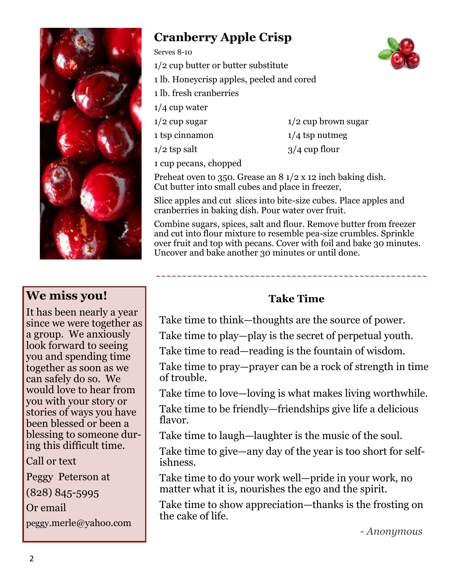

#### **We miss you!**

It has been nearly a year since we were together as a group. We anxiously look forward to seeing you and spending time together as soon as we can safely do so. We would love to hear from you with your story or stories of ways you have been blessed or been a blessing to someone during this difficult time.

Call or text

Peggy Peterson at (828) 845-5995 Or email

peggy.merle@yahoo.com

## **Cranberry Apple Crisp**

Serves 8-10

- 1/2 cup butter or butter substitute
- 1 lb. Honeycrisp apples, peeled and cored
- 1 lb. fresh cranberries
- 1/4 cup water
- $1/2$  cup sugar  $1/2$  cup brown sugar
- 1 tsp cinnamon 1/4 tsp nutmeg

 $1/2$  tsp salt  $3/4$  cup flour

1 cup pecans, chopped

Preheat oven to 350. Grease an 8 1/2 x 12 inch baking dish. Cut butter into small cubes and place in freezer,

Slice apples and cut slices into bite-size cubes. Place apples and cranberries in baking dish. Pour water over fruit.

Combine sugars, spices, salt and flour. Remove butter from freezer and cut into flour mixture to resemble pea-size crumbles. Sprinkle over fruit and top with pecans. Cover with foil and bake 30 minutes. Uncover and bake another 30 minutes or until done.

#### **Take Time**

**~~~~~~~~~~~~~~~~~~~~~~~~~~~~~~~~~~~~~~~~~~~~~~~~~~~~**

Take time to think—thoughts are the source of power.

Take time to play—play is the secret of perpetual youth.

Take time to read—reading is the fountain of wisdom.

Take time to pray—prayer can be a rock of strength in time of trouble.

Take time to love—loving is what makes living worthwhile.

Take time to be friendly—friendships give life a delicious flavor.

Take time to laugh—laughter is the music of the soul.

Take time to give—any day of the year is too short for selfishness.

Take time to do your work well—pride in your work, no matter what it is, nourishes the ego and the spirit.

Take time to show appreciation—thanks is the frosting on the cake of life.

*- Anonymous*

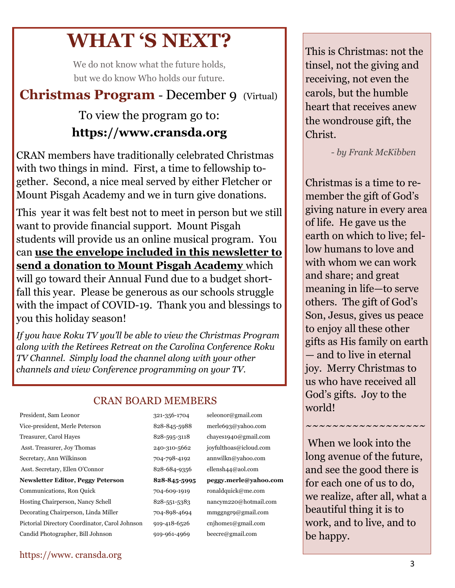# **WHAT 'S NEXT?**

We do not know what the future holds, but we do know Who holds our future.

## **Christmas Program** - December 9 (Virtual)

## To view the program go to: **https://www.cransda.org**

CRAN members have traditionally celebrated Christmas with two things in mind. First, a time to fellowship together. Second, a nice meal served by either Fletcher or Mount Pisgah Academy and we in turn give donations.

This year it was felt best not to meet in person but we still want to provide financial support. Mount Pisgah students will provide us an online musical program. You can **use the envelope included in this newsletter to send a donation to Mount Pisgah Academy** which will go toward their Annual Fund due to a budget short-

fall this year. Please be generous as our schools struggle with the impact of COVID-19. Thank you and blessings to you this holiday season!

*If you have Roku TV you'll be able to view the Christmas Program along with the Retirees Retreat on the Carolina Conference Roku TV Channel. Simply load the channel along with your other channels and view Conference programming on your TV.*

#### CRAN BOARD MEMBERS

Treasurer, Carol Hayes 828-595-3118 chayes1940@gmail.com Asst. Treasurer, Joy Thomas 240-310-5662 joyfulthoas@icloud.com Secretary, Ann Wilkinson 704-798-4192 annwilkn@yahoo.com Asst. Secretary, Ellen O'Connor 828-684-9356 ellensh44@aol.com **Newsletter Editor, Peggy Peterson 828-845-5995 peggy.merle@yahoo.com** Communications, Ron Quick 704-609-1919 ronaldquick@me.com Hosting Chairperson, Nancy Schell 828-551-5383 nancym220@hotmail.com Decorating Chairperson, Linda Miller 704-898-4694 mmggngr9@gmail.com Pictorial Directory Coordinator, Carol Johnson 919-418-6526 cnjhome1@gmail.com Candid Photographer, Bill Johnson 919-961-4969 beecre@gmail.com

President, Sam Leonor 321-356-1704 seleonor@gmail.com Vice-president, Merle Peterson 828-845-5988 merle693@yahoo.com

tinsel, not the giving and  $p_2$ cerving, not even the  $1015, \text{put}$  and  $10$  $\alpha$ i unat receives al the wondrouse gift, the  $\Gamma$ four and a half decomposition  $\Gamma$ This is Christmas: not the receiving, not even the carols, but the humble heart that receives anew Christ.

ades. After retiring  *- by Frank McKibben*

Christmas is a time to remember the gift of God's giving nature in every area of life. He gave us the earth on which to live; fellow humans to love and with whom we can work and share; and great meaning in life—to serve others. The gift of God's Son, Jesus, gives us peace to enjoy all these other gifts as His family on earth — and to live in eternal joy. Merry Christmas to us who have received all God's gifts. Joy to the world! World and the second second  $\sim$ 

She most enjoyed When we look into the  $\frac{1}{2}$ long avenue of the future, and see the good there is for each one of us to do, we realize, after all, what a beautiful thing it is to work, and to live, and to li be happy.

~~~~~~~~~~~~~~~~~

#### https://www. cransda.org